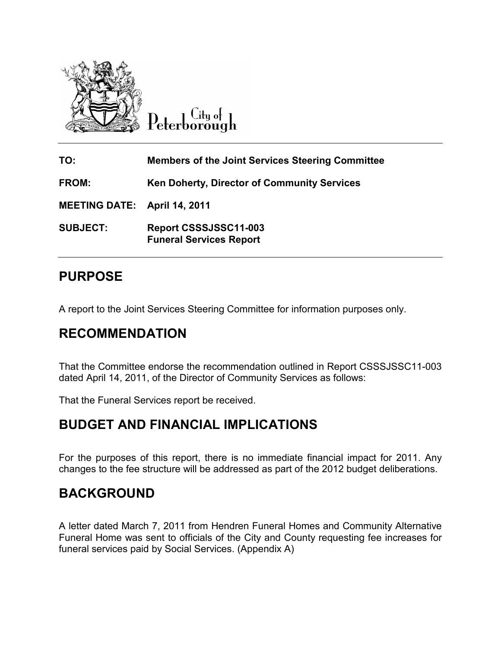

City of Peterborough

**TO: Members of the Joint Services Steering Committee FROM: Ken Doherty, Director of Community Services MEETING DATE: April 14, 2011 SUBJECT: Report CSSSJSSC11-003 Funeral Services Report** 

# **PURPOSE**

A report to the Joint Services Steering Committee for information purposes only.

# **RECOMMENDATION**

That the Committee endorse the recommendation outlined in Report CSSSJSSC11-003 dated April 14, 2011, of the Director of Community Services as follows:

That the Funeral Services report be received.

## **BUDGET AND FINANCIAL IMPLICATIONS**

For the purposes of this report, there is no immediate financial impact for 2011. Any changes to the fee structure will be addressed as part of the 2012 budget deliberations.

## **BACKGROUND**

A letter dated March 7, 2011 from Hendren Funeral Homes and Community Alternative Funeral Home was sent to officials of the City and County requesting fee increases for funeral services paid by Social Services. (Appendix A)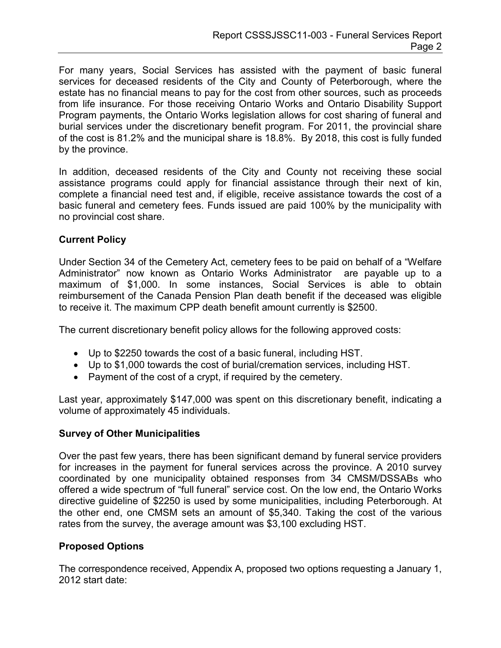For many years, Social Services has assisted with the payment of basic funeral services for deceased residents of the City and County of Peterborough, where the estate has no financial means to pay for the cost from other sources, such as proceeds from life insurance. For those receiving Ontario Works and Ontario Disability Support Program payments, the Ontario Works legislation allows for cost sharing of funeral and burial services under the discretionary benefit program. For 2011, the provincial share of the cost is 81.2% and the municipal share is 18.8%. By 2018, this cost is fully funded by the province.

In addition, deceased residents of the City and County not receiving these social assistance programs could apply for financial assistance through their next of kin, complete a financial need test and, if eligible, receive assistance towards the cost of a basic funeral and cemetery fees. Funds issued are paid 100% by the municipality with no provincial cost share.

### **Current Policy**

Under Section 34 of the Cemetery Act, cemetery fees to be paid on behalf of a "Welfare Administrator" now known as Ontario Works Administrator are payable up to a maximum of \$1,000. In some instances, Social Services is able to obtain reimbursement of the Canada Pension Plan death benefit if the deceased was eligible to receive it. The maximum CPP death benefit amount currently is \$2500.

The current discretionary benefit policy allows for the following approved costs:

- Up to \$2250 towards the cost of a basic funeral, including HST.
- Up to \$1,000 towards the cost of burial/cremation services, including HST.
- Payment of the cost of a crypt, if required by the cemetery.

Last year, approximately \$147,000 was spent on this discretionary benefit, indicating a volume of approximately 45 individuals.

#### **Survey of Other Municipalities**

Over the past few years, there has been significant demand by funeral service providers for increases in the payment for funeral services across the province. A 2010 survey coordinated by one municipality obtained responses from 34 CMSM/DSSABs who offered a wide spectrum of "full funeral" service cost. On the low end, the Ontario Works directive guideline of \$2250 is used by some municipalities, including Peterborough. At the other end, one CMSM sets an amount of \$5,340. Taking the cost of the various rates from the survey, the average amount was \$3,100 excluding HST.

#### **Proposed Options**

The correspondence received, Appendix A, proposed two options requesting a January 1, 2012 start date: